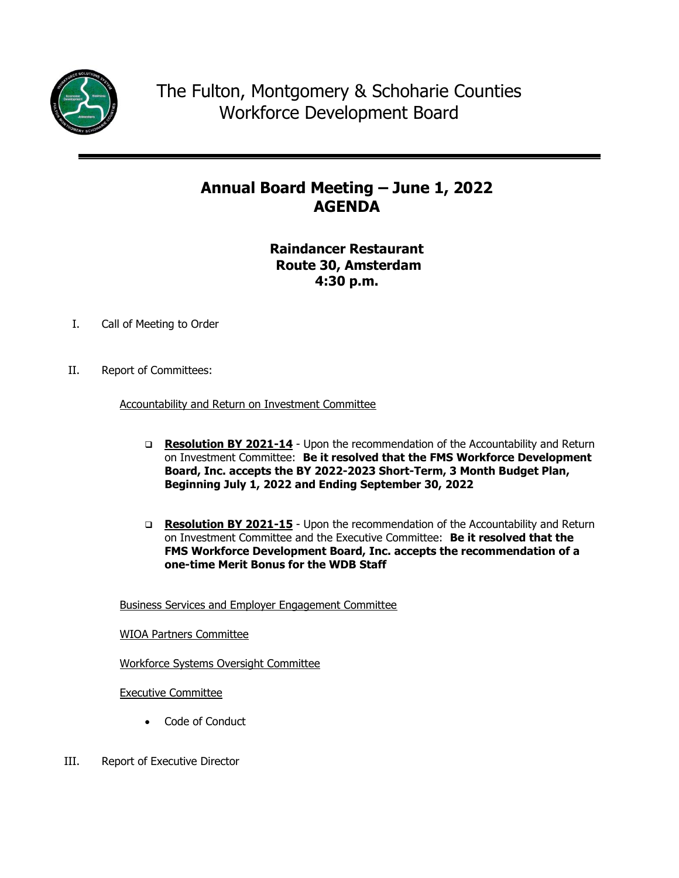

## **Annual Board Meeting – June 1, 2022 AGENDA**

### **Raindancer Restaurant Route 30, Amsterdam 4:30 p.m.**

- I. Call of Meeting to Order
- II. Report of Committees:

Accountability and Return on Investment Committee

- □ **Resolution BY 2021-14** Upon the recommendation of the Accountability and Return on Investment Committee: **Be it resolved that the FMS Workforce Development Board, Inc. accepts the BY 2022-2023 Short-Term, 3 Month Budget Plan, Beginning July 1, 2022 and Ending September 30, 2022**
- □ Resolution BY 2021-15 Upon the recommendation of the Accountability and Return on Investment Committee and the Executive Committee: **Be it resolved that the FMS Workforce Development Board, Inc. accepts the recommendation of a one-time Merit Bonus for the WDB Staff**

Business Services and Employer Engagement Committee

WIOA Partners Committee

Workforce Systems Oversight Committee

Executive Committee

- Code of Conduct
- III. Report of Executive Director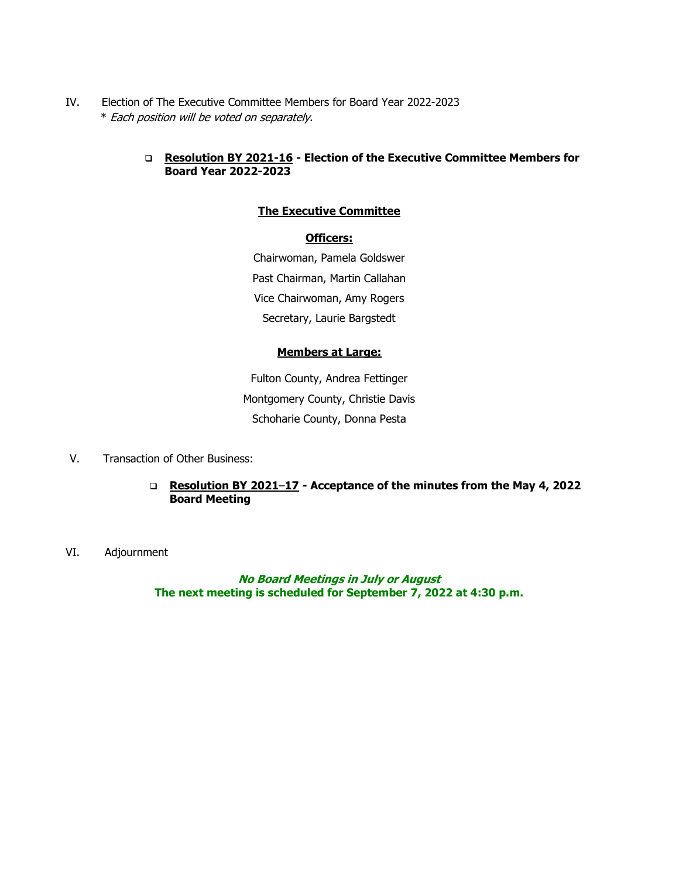IV. Election of The Executive Committee Members for Board Year 2022-2023 \* Each position will be voted on separately.

#### **Resolution BY 2021-16 - Election of the Executive Committee Members for Board Year 2022-2023**

#### **The Executive Committee**

#### **Officers:**

Chairwoman, Pamela Goldswer Past Chairman, Martin Callahan Vice Chairwoman, Amy Rogers Secretary, Laurie Bargstedt

#### **Members at Large:**

Fulton County, Andrea Fettinger Montgomery County, Christie Davis Schoharie County, Donna Pesta

- V. Transaction of Other Business:
	- **Resolution BY 2021**–**17 - Acceptance of the minutes from the May 4, 2022 Board Meeting**
- VI. Adjournment

**No Board Meetings in July or August The next meeting is scheduled for September 7, 2022 at 4:30 p.m.**